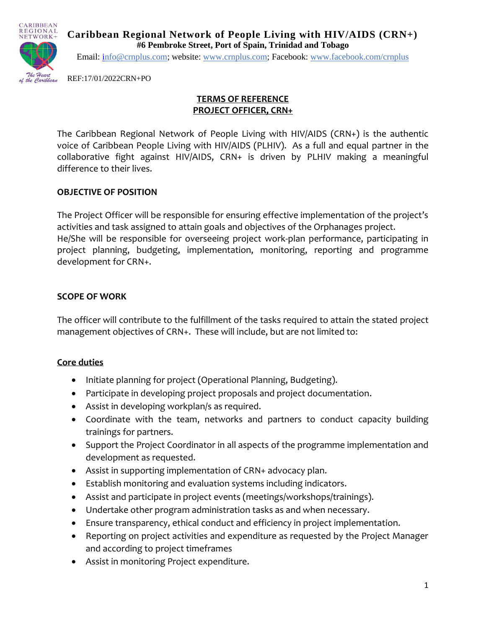

**Caribbean Regional Network of People Living with HIV/AIDS (CRN+) #6 Pembroke Street, Port of Spain, Trinidad and Tobago**

Email: [info@crnplus.com;](mailto:info@crnplus.com) website: [www.crnplus.com;](http://www.crnplus.com/) Facebook: [www.facebook.com/crnplus](http://www.facebook.com/crnplus)

REF:17/01/2022CRN+PO

## **TERMS OF REFERENCE PROJECT OFFICER, CRN+**

The Caribbean Regional Network of People Living with HIV/AIDS (CRN+) is the authentic voice of Caribbean People Living with HIV/AIDS (PLHIV). As a full and equal partner in the collaborative fight against HIV/AIDS, CRN+ is driven by PLHIV making a meaningful difference to their lives.

## **OBJECTIVE OF POSITION**

The Project Officer will be responsible for ensuring effective implementation of the project's activities and task assigned to attain goals and objectives of the Orphanages project. He/She will be responsible for overseeing project work-plan performance, participating in project planning, budgeting, implementation, monitoring, reporting and programme development for CRN+.

## **SCOPE OF WORK**

The officer will contribute to the fulfillment of the tasks required to attain the stated project management objectives of CRN+. These will include, but are not limited to:

#### **Core duties**

- Initiate planning for project (Operational Planning, Budgeting).
- Participate in developing project proposals and project documentation.
- Assist in developing workplan/s as required.
- Coordinate with the team, networks and partners to conduct capacity building trainings for partners.
- Support the Project Coordinator in all aspects of the programme implementation and development as requested.
- Assist in supporting implementation of CRN+ advocacy plan.
- Establish monitoring and evaluation systems including indicators.
- Assist and participate in project events (meetings/workshops/trainings).
- Undertake other program administration tasks as and when necessary.
- Ensure transparency, ethical conduct and efficiency in project implementation.
- Reporting on project activities and expenditure as requested by the Project Manager and according to project timeframes
- Assist in monitoring Project expenditure.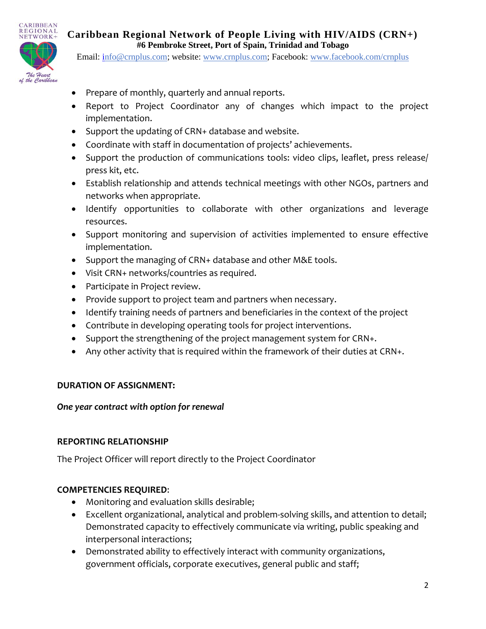

**Caribbean Regional Network of People Living with HIV/AIDS (CRN+) #6 Pembroke Street, Port of Spain, Trinidad and Tobago**

Email: [info@crnplus.com;](mailto:info@crnplus.com) website: [www.crnplus.com;](http://www.crnplus.com/) Facebook: [www.facebook.com/crnplus](http://www.facebook.com/crnplus)

- Prepare of monthly, quarterly and annual reports.
- Report to Project Coordinator any of changes which impact to the project implementation.
- Support the updating of CRN+ database and website.
- Coordinate with staff in documentation of projects' achievements.
- Support the production of communications tools: video clips, leaflet, press release/ press kit, etc.
- Establish relationship and attends technical meetings with other NGOs, partners and networks when appropriate.
- Identify opportunities to collaborate with other organizations and leverage resources.
- Support monitoring and supervision of activities implemented to ensure effective implementation.
- Support the managing of CRN+ database and other M&E tools.
- Visit CRN+ networks/countries as required.
- Participate in Project review.
- Provide support to project team and partners when necessary.
- Identify training needs of partners and beneficiaries in the context of the project
- Contribute in developing operating tools for project interventions.
- Support the strengthening of the project management system for CRN+.
- Any other activity that is required within the framework of their duties at CRN+.

#### **DURATION OF ASSIGNMENT:**

#### *One year contract with option for renewal*

#### **REPORTING RELATIONSHIP**

The Project Officer will report directly to the Project Coordinator

#### **COMPETENCIES REQUIRED**:

- Monitoring and evaluation skills desirable;
- Excellent organizational, analytical and problem-solving skills, and attention to detail; Demonstrated capacity to effectively communicate via writing, public speaking and interpersonal interactions;
- Demonstrated ability to effectively interact with community organizations, government officials, corporate executives, general public and staff;